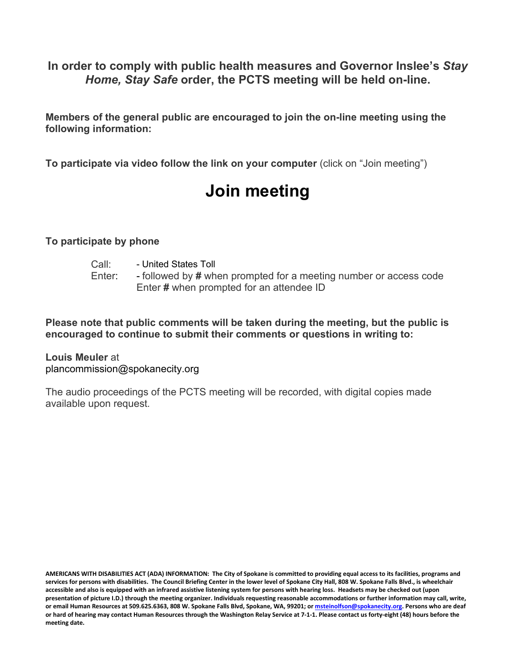AGENDA